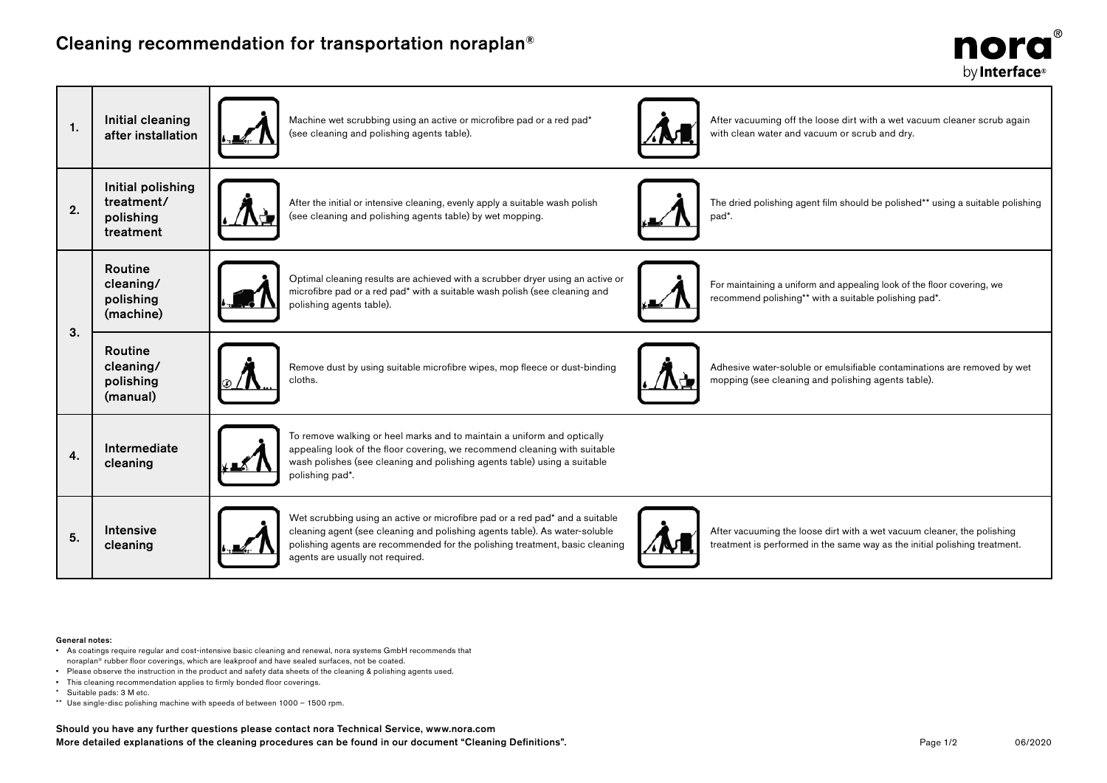## Cleaning recommendation for transportation noraplan®



| 1. | Initial cleaning<br>after installation                    | Machine wet scrubbing using an active or microfibre pad or a red pad*<br>After vacuuming off the loose dirt with a wet vacuum cleaner scrub again<br>(see cleaning and polishing agents table).<br>with clean water and vacuum or scrub and dry.                                                                                                                                                                                        |
|----|-----------------------------------------------------------|-----------------------------------------------------------------------------------------------------------------------------------------------------------------------------------------------------------------------------------------------------------------------------------------------------------------------------------------------------------------------------------------------------------------------------------------|
| 2. | Initial polishing<br>treatment/<br>polishing<br>treatment | After the initial or intensive cleaning, evenly apply a suitable wash polish<br>The dried polishing agent film should be polished** using a suitable polishing<br>(see cleaning and polishing agents table) by wet mopping.<br>pad <sup>*</sup> .                                                                                                                                                                                       |
| 3. | <b>Routine</b><br>cleaning/<br>polishing<br>(machine)     | Optimal cleaning results are achieved with a scrubber dryer using an active or<br>For maintaining a uniform and appealing look of the floor covering, we<br>microfibre pad or a red pad* with a suitable wash polish (see cleaning and<br>recommend polishing** with a suitable polishing pad*.<br>polishing agents table).                                                                                                             |
|    | Routine<br>cleaning/<br>polishing<br>(manual)             | Adhesive water-soluble or emulsifiable contaminations are removed by wet<br>Remove dust by using suitable microfibre wipes, mop fleece or dust-binding<br>mopping (see cleaning and polishing agents table).<br>cloths.                                                                                                                                                                                                                 |
| 4. | Intermediate<br>cleaning                                  | To remove walking or heel marks and to maintain a uniform and optically<br>appealing look of the floor covering, we recommend cleaning with suitable<br>wash polishes (see cleaning and polishing agents table) using a suitable<br>polishing pad*.                                                                                                                                                                                     |
| 5. | <b>Intensive</b><br>cleaning                              | Wet scrubbing using an active or microfibre pad or a red pad* and a suitable<br>cleaning agent (see cleaning and polishing agents table). As water-soluble<br>After vacuuming the loose dirt with a wet vacuum cleaner, the polishing<br>polishing agents are recommended for the polishing treatment, basic cleaning<br>treatment is performed in the same way as the initial polishing treatment.<br>agents are usually not required. |

## General notes:

- As coatings require regular and cost-intensive basic cleaning and renewal, nora systems GmbH recommends that noraplan® rubber floor coverings, which are leakproof and have sealed surfaces, not be coated.
- Please observe the instruction in the product and safety data sheets of the cleaning & polishing agents used.
- This cleaning recommendation applies to firmly bonded floor coverings.
- \* Suitable pads: 3 M etc.
- \*\* Use single-disc polishing machine with speeds of between 1000 1500 rpm.

Should you have any further questions please contact nora Technical Service, www.nora.com More detailed explanations of the cleaning procedures can be found in our document "Cleaning Definitions".